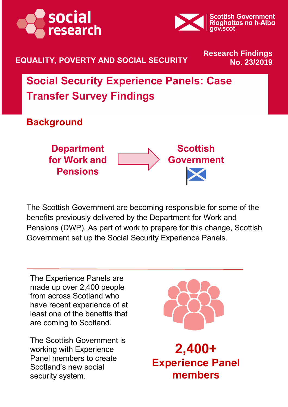



#### **EQUALITY, POVERTY AND SOCIAL SECURITY No. 23/2019**

# **Research Findings**

**Social Security Experience Panels: Case Transfer Survey Findings**

**Background**



The Scottish Government are becoming responsible for some of the benefits previously delivered by the Department for Work and Pensions (DWP). As part of work to prepare for this change, Scottish Government set up the Social Security Experience Panels.

The Experience Panels are made up over 2,400 people from across Scotland who have recent experience of at least one of the benefits that are coming to Scotland.

The Scottish Government is working with Experience Panel members to create Scotland's new social security system.



**2,400+ Experience Panel members**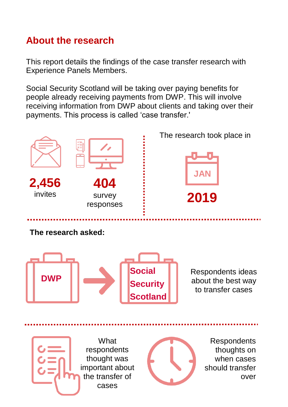#### **About the research**

This report details the findings of the case transfer research with Experience Panels Members.

Social Security Scotland will be taking over paying benefits for people already receiving payments from DWP. This will involve receiving information from DWP about clients and taking over their payments. This process is called 'case transfer.'

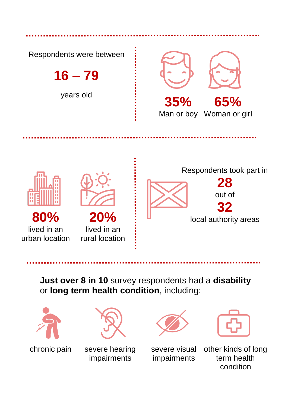

**Just over 8 in 10** survey respondents had a **disability** or **long term health condition**, including:





**Panel members chronic pain severe hearing sextle in the set of the severe hearing** impairments





severe visual impairments

other kinds of long term health condition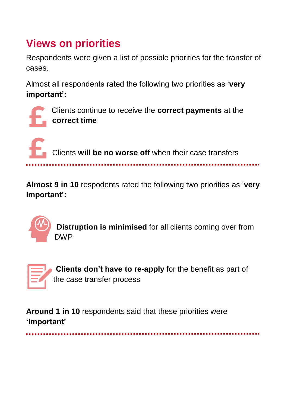### **Views on priorities**

Respondents were given a list of possible priorities for the transfer of cases.

Almost all respondents rated the following two priorities as '**very important':**



Clients continue to receive the **correct payments** at the **correct time**



**Almost 9 in 10** respodents rated the following two priorities as '**very important':** 



**Distruption is minimised** for all clients coming over from DWP



**Clients don't have to re-apply** for the benefit as part of the case transfer process

**Around 1 in 10** respondents said that these priorities were **'important'**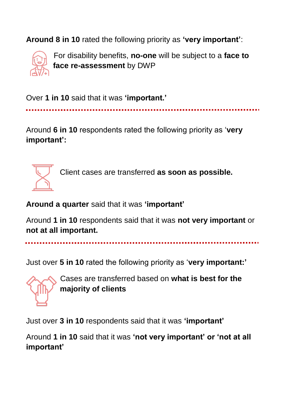**Around 8 in 10** rated the following priority as **'very important'**:



For disability benefits, **no-one** will be subject to a **face to face re-assessment** by DWP

Over **1 in 10** said that it was **'important.'**

Around **6 in 10** respondents rated the following priority as '**very important':**



Client cases are transferred **as soon as possible.**

**Around a quarter** said that it was **'important'**

Around **1 in 10** respondents said that it was **not very important** or **not at all important.**

Just over **5 in 10** rated the following priority as '**very important:'**

Cases are transferred based on **what is best for the majority of clients** 

Just over **3 in 10** respondents said that it was **'important'**

Around **1 in 10** said that it was **'not very important' or 'not at all important'**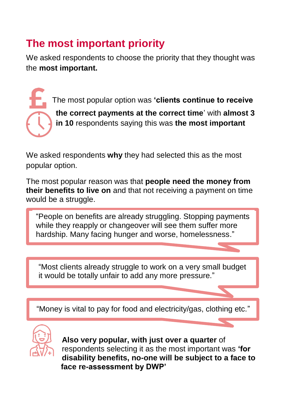### **The most important priority**

We asked respondents to choose the priority that they thought was the **most important.** 

> The most popular option was **'clients continue to receive the correct payments at the correct time**' with **almost 3 in 10** respondents saying this was **the most important**

We asked respondents **why** they had selected this as the most popular option.

The most popular reason was that **people need the money from their benefits to live on** and that not receiving a payment on time would be a struggle.

"People on benefits are already struggling. Stopping payments while they reapply or changeover will see them suffer more hardship. Many facing hunger and worse, homelessness."

"Most clients already struggle to work on a very small budget it would be totally unfair to add any more pressure."

"Money is vital to pay for food and electricity/gas, clothing etc."



**Also very popular, with just over a quarter** of respondents selecting it as the most important was **'for disability benefits, no-one will be subject to a face to face re-assessment by DWP'**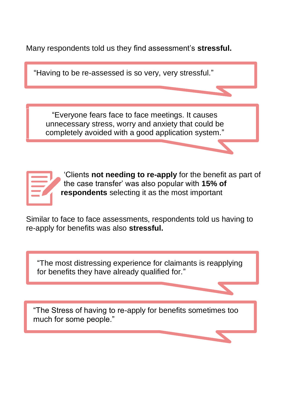Many respondents told us they find assessment's **stressful.**

People on benefits are already struggling are already struggling payments which is which  $p$ "Having to be re-assessed is so very, very stressful." "Everyone fears face to face meetings. It causes

unnecessary stress, worry and anxiety that could be completely avoided with a good application system."



'Clients **not needing to re-apply** for the benefit as part of the case transfer' was also popular with **15% of respondents** selecting it as the most important

Similar to face to face assessments, respondents told us having to re-apply for benefits was also **stressful.** 

"The most distressing experience for claimants is reapplying for benefits they have already qualified for."

"The Stress of having to re-apply for benefits sometimes too much for some people."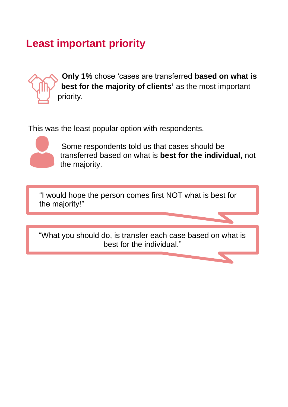#### **Least important priority**



**Only 1%** chose 'cases are transferred **based on what is best for the majority of clients'** as the most important priority.

This was the least popular option with respondents.



 Some respondents told us that cases should be transferred based on what is **best for the individual,** not the majority.

"I would hope the person comes first NOT what is best for the majority!"

"What you should do, is transfer each case based on what is best for the individual."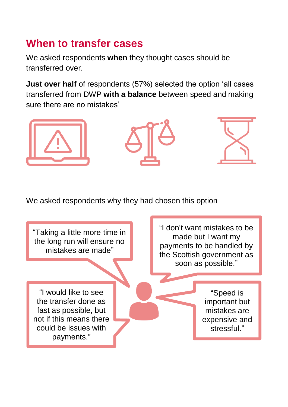#### **When to transfer cases**

We asked respondents **when** they thought cases should be transferred over.

**Just over half** of respondents (57%) selected the option 'all cases transferred from DWP **with a balance** between speed and making sure there are no mistakes'



We asked respondents why they had chosen this option

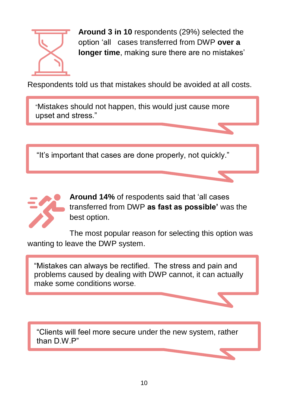

**Around 3 in 10** respondents (29%) selected the option 'all cases transferred from DWP **over a longer time**, making sure there are no mistakes'

Respondents told us that mistakes should be avoided at all costs.

 $\mathbb{R}^n$  and steady and steady wind it for the race much done much  $\mathbb{R}^n$ "Mistakes should not happen, this would just cause more upset and stress."

 $s(t)$  is the recent better known and done much end, much monitored  $v$ "It's important that cases are done properly, not quickly."



**Around 14%** of respodents said that 'all cases transferred from DWP **as fast as possible'** was the best option.

The most popular reason for selecting this option was wanting to leave the DWP system.

"Mistakes can always be rectified. The stress and pain and problems caused by dealing with DWP cannot, it can actually make some conditions worse.

"Clients will feel more secure under the new system, rather than D.W.P"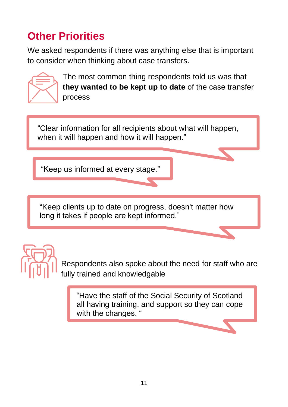## **Other Priorities**

We asked respondents if there was anything else that is important to consider when thinking about case transfers.



The most common thing respondents told us was that **they wanted to be kept up to date** of the case transfer process

 $\degree$ Cloar information for all recipients about what will bennen "Clear information for all recipients about what will happen, when it will happen and how it will happen."

Slow and steady wins the race. I'd feel much better "Keep us informed at every stage." monitored for mistakes before moving on to the next task.

"Keen clients un to date on progress doesn't matter how "Keep clients up to date on progress, doesn't matter how long it takes if people are kept informed."



Respondents also spoke about the need for staff who are fully trained and knowledgable

"Have the staff of the Social Security of Scotland all having training, and support so they can cope with the changes. "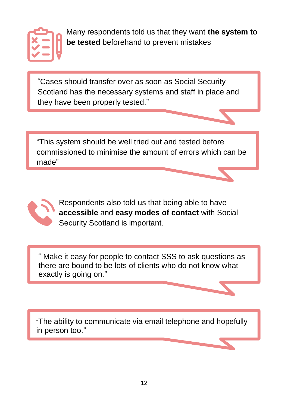

Many respondents told us that they want **the system to be tested** beforehand to prevent mistakes

"Cases should transfer over as soon as Social Security Scotland has the necessary systems and staff in place and they have been properly tested."

"This system should be well tried out and tested before commissioned to minimise the amount of errors which can be made"



Respondents also told us that being able to have **accessible** and **easy modes of contact** with Social Security Scotland is important.

" Make it easy for people to contact SSS to ask questions as there are bound to be lots of clients who do not know what exactly is going on."

Slow and steady wins the race. I'd feel much better knowing things were being done methodically and "The ability to communicate via email telephone and hopefully in person too."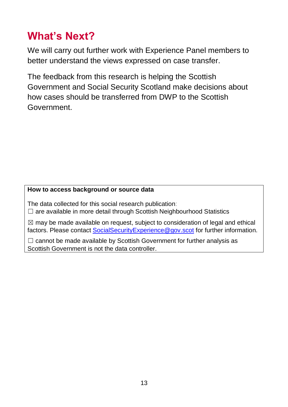### **What's Next?**

We will carry out further work with Experience Panel members to better understand the views expressed on case transfer.

The feedback from this research is helping the Scottish Government and Social Security Scotland make decisions about how cases should be transferred from DWP to the Scottish Government.

#### **How to access background or source data**

The data collected for this social research publication:  $\Box$  are available in more detail through Scottish Neighbourhood Statistics

 $\boxtimes$  may be made available on request, subject to consideration of legal and ethical factors. Please contact [SocialSecurityExperience@gov.scot](mailto:SocialSecurityExperience@gov.scot) for further information.

 $\Box$  cannot be made available by Scottish Government for further analysis as Scottish Government is not the data controller.